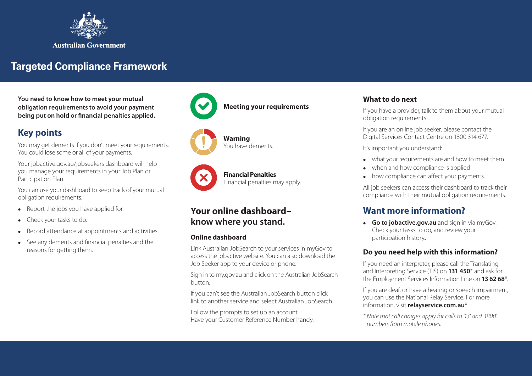

# **Targeted Compliance Framework**

**You need to know how to meet your mutual obligation requirements to avoid your payment being put on hold or financial penalties applied.**

# **Key points**

You may get demerits if you don't meet your requirements. You could lose some or all of your payments.

Your jobactive.gov.au/jobseekers dashboard will help you manage your requirements in your Job Plan or Participation Plan.

You can use your dashboard to keep track of your mutual obligation requirements:

- $\bullet$  Report the jobs you have applied for.
- Check your tasks to do.
- Record attendance at appointments and activities.
- See any demerits and financial penalties and the reasons for getting them.







**Financial Penalties**  Financial penalties may apply.

# **Your online dashboard– know where you stand.**

**Warning** 

You have demerits.

#### **Online dashboard**

Link Australian JobSearch to your services in myGov to access the jobactive website. You can also download the Job Seeker app to your device or phone.

Sign in to my.gov.au and click on the Australian JobSearch button.

If you can't see the Australian JobSearch button click link to another service and select Australian JobSearch.

Follow the prompts to set up an account. Have your Customer Reference Number handy.

#### **What to do next**

If you have a provider, talk to them about your mutual obligation requirements.

If you are an online job seeker, please contact the Digital Services Contact Centre on 1800 314 677.

It's important you understand:

- what your requirements are and how to meet them
- when and how compliance is applied
- how compliance can affect your payments.

All job seekers can access their dashboard to track their compliance with their mutual obligation requirements.

# **Want more information?**

**Go to jobactive.gov.au** and sign in via myGov. Check your tasks to do, and review your participation history**.**

#### **Do you need help with this information?**

If you need an interpreter, please call the Translating and Interpreting Service (TIS) on **131 450**\* and ask for the Employment Services Information Line on **13 62 68**\*.

If you are deaf, or have a hearing or speech impairment, you can use the National Relay Service. For more information, visit **relayservice.com.au**\*

*\* Note that call charges apply for calls to '13' and '1800' numbers from mobile phones.*